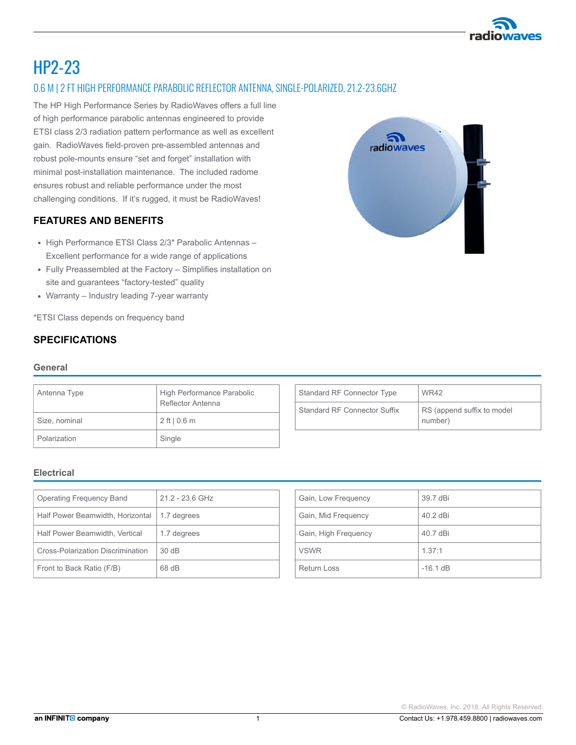

# HP2-23

## 0.6 M | 2 FT HIGH PERFORMANCE PARABOLIC REFLECTOR ANTENNA, SINGLE-POLARIZED, 21.2-23.6GHZ

The HP High Performance Series by RadioWaves offers a full line of high performance parabolic antennas engineered to provide ETSI class 2/3 radiation pattern performance as well as excellent gain. RadioWaves field-proven pre-assembled antennas and robust polemounts ensure "set and forget" installation with minimal post-installation maintenance. The included radome ensures robust and reliable performance under the most challenging conditions. If it's rugged, it must be RadioWaves!

### FEATURES AND BENEFITS

- High Performance ETSI Class 2/3\* Parabolic Antennas -Excellent performance for a wide range of applications
- Fully Preassembled at the Factory Simplifies installation on site and guarantees "factory-tested" quality
- $\bullet$  Warranty Industry leading 7-year warranty

\*ETSI Class depends on frequency band

#### SPECIFICATIONS

#### General

| Antenna Type  | High Performance Parabolic<br>Reflector Antenna |
|---------------|-------------------------------------------------|
| Size, nominal | $2$ ft   0.6 m                                  |
| Polarization  | Single                                          |

| Standard RF Connector Type   | WR42                                  |
|------------------------------|---------------------------------------|
| Standard RF Connector Suffix | RS (append suffix to model<br>number) |

#### Electrical

| <b>Operating Frequency Band</b>   | $21.2 - 23.6$ GHz |
|-----------------------------------|-------------------|
| Half Power Beamwidth, Horizontal  | 1.7 degrees       |
| Half Power Beamwidth, Vertical    | 1.7 degrees       |
| Cross-Polarization Discrimination | 30dB              |
| Front to Back Ratio (F/B)         | 68 dB             |

| Gain, Low Frequency  | 39.7 dBi   |
|----------------------|------------|
| Gain, Mid Frequency  | 40.2 dBi   |
| Gain, High Frequency | 40.7 dBi   |
| <b>VSWR</b>          | 1.37:1     |
| <b>Return Loss</b>   | $-16.1$ dB |

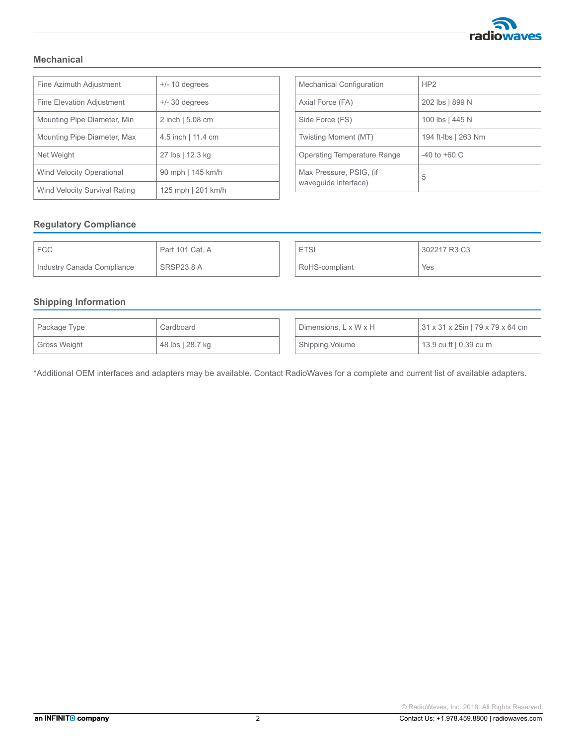

### Mechanical

| Fine Azimuth Adjustment          | $+/- 10$ degrees   |  |
|----------------------------------|--------------------|--|
| Fine Elevation Adjustment        | $+/- 30$ degrees   |  |
| Mounting Pipe Diameter, Min      | 2 inch   5.08 cm   |  |
| Mounting Pipe Diameter, Max      | 4.5 inch   11.4 cm |  |
| Net Weight                       | 27 lbs   12.3 kg   |  |
| <b>Wind Velocity Operational</b> | 90 mph   145 km/h  |  |
| Wind Velocity Survival Rating    | 125 mph   201 km/h |  |

| <b>Mechanical Configuration</b>                 | HP2                 |  |
|-------------------------------------------------|---------------------|--|
| Axial Force (FA)                                | 202 lbs   899 N     |  |
| Side Force (FS)                                 | 100 lbs   445 N     |  |
| Twisting Moment (MT)                            | 194 ft-lbs   263 Nm |  |
| Operating Temperature Range                     | $-40$ to $+60$ C    |  |
| Max Pressure, PSIG, (if<br>wavequide interface) | 5                   |  |

#### Regulatory Compliance

| ' FCC                      | Part 101 Cat. A |
|----------------------------|-----------------|
| Industry Canada Compliance | SRSP23.8 A      |

# ETSI 302217 R3 C3 RoHS-compliant Yes

### Shipping Information

| I Package Type | Cardboard        |  | Dimensions, $L \times W \times H$ | 31 x 31 x 25in   79 x 79 x 64 cm |
|----------------|------------------|--|-----------------------------------|----------------------------------|
| Gross Weight   | 48 lbs   28.7 kg |  | Shipping Volume                   | 13.9 cu ft   0.39 cu m           |

\*Additional OEM interfaces and adapters may be available. Contact RadioWaves for a complete and current list of available adapters.